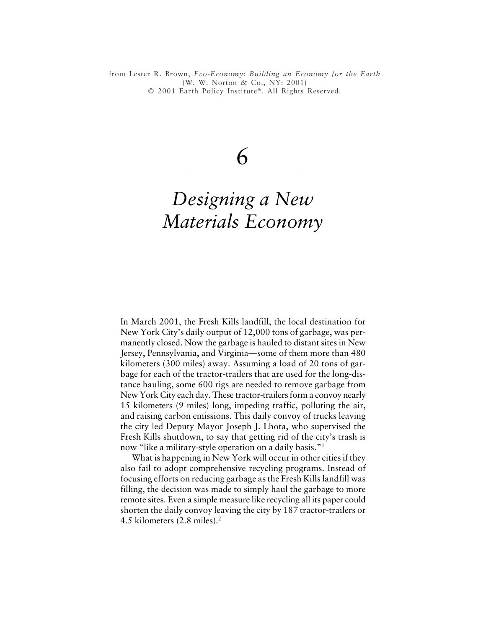*Designing a New Materials Economy 121* © 2001 Earth Policy Institute®. All Rights Reserved.from Lester R. Brown, *Eco-Economy: Building an Economy for the Earth* (W. W. Norton & Co., NY: 2001)

6

# *Designing a New Materials Economy*

In March 2001, the Fresh Kills landfill, the local destination for New York City's daily output of 12,000 tons of garbage, was permanently closed. Now the garbage is hauled to distant sites in New Jersey, Pennsylvania, and Virginia—some of them more than 480 kilometers (300 miles) away. Assuming a load of 20 tons of garbage for each of the tractor-trailers that are used for the long-distance hauling, some 600 rigs are needed to remove garbage from New York City each day. These tractor-trailers form a convoy nearly 15 kilometers (9 miles) long, impeding traffic, polluting the air, and raising carbon emissions. This daily convoy of trucks leaving the city led Deputy Mayor Joseph J. Lhota, who supervised the Fresh Kills shutdown, to say that getting rid of the city's trash is now "like a military-style operation on a daily basis."<sup>1</sup>

What is happening in New York will occur in other cities if they also fail to adopt comprehensive recycling programs. Instead of focusing efforts on reducing garbage as the Fresh Kills landfill was filling, the decision was made to simply haul the garbage to more remote sites. Even a simple measure like recycling all its paper could shorten the daily convoy leaving the city by 187 tractor-trailers or 4.5 kilometers (2.8 miles).<sup>2</sup>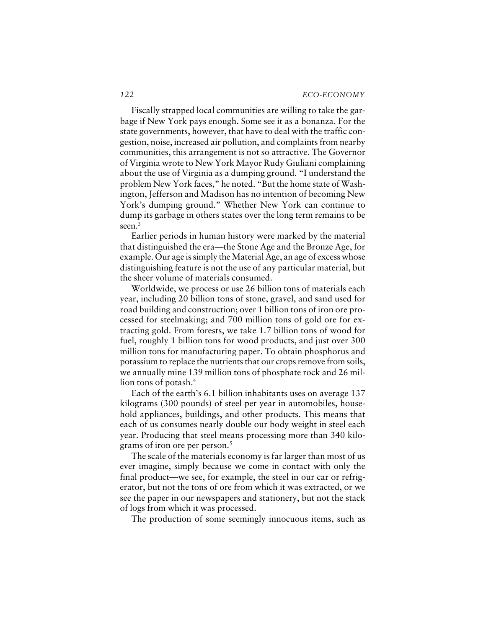Fiscally strapped local communities are willing to take the garbage if New York pays enough. Some see it as a bonanza. For the state governments, however, that have to deal with the traffic congestion, noise, increased air pollution, and complaints from nearby communities, this arrangement is not so attractive. The Governor of Virginia wrote to New York Mayor Rudy Giuliani complaining about the use of Virginia as a dumping ground. "I understand the problem New York faces," he noted. "But the home state of Washington, Jefferson and Madison has no intention of becoming New York's dumping ground." Whether New York can continue to dump its garbage in others states over the long term remains to be seen.<sup>3</sup>

Earlier periods in human history were marked by the material that distinguished the era—the Stone Age and the Bronze Age, for example. Our age is simply the Material Age, an age of excess whose distinguishing feature is not the use of any particular material, but the sheer volume of materials consumed.

Worldwide, we process or use 26 billion tons of materials each year, including 20 billion tons of stone, gravel, and sand used for road building and construction; over 1 billion tons of iron ore processed for steelmaking; and 700 million tons of gold ore for extracting gold. From forests, we take 1.7 billion tons of wood for fuel, roughly 1 billion tons for wood products, and just over 300 million tons for manufacturing paper. To obtain phosphorus and potassium to replace the nutrients that our crops remove from soils, we annually mine 139 million tons of phosphate rock and 26 million tons of potash.<sup>4</sup>

Each of the earth's 6.1 billion inhabitants uses on average 137 kilograms (300 pounds) of steel per year in automobiles, household appliances, buildings, and other products. This means that each of us consumes nearly double our body weight in steel each year. Producing that steel means processing more than 340 kilograms of iron ore per person.<sup>5</sup>

The scale of the materials economy is far larger than most of us ever imagine, simply because we come in contact with only the final product—we see, for example, the steel in our car or refrigerator, but not the tons of ore from which it was extracted, or we see the paper in our newspapers and stationery, but not the stack of logs from which it was processed.

The production of some seemingly innocuous items, such as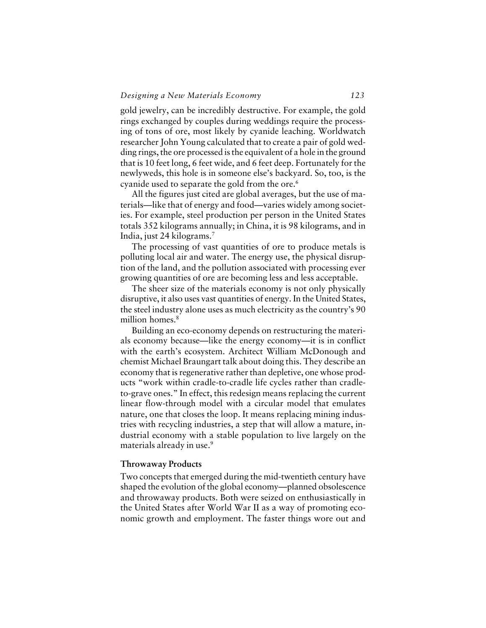gold jewelry, can be incredibly destructive. For example, the gold rings exchanged by couples during weddings require the processing of tons of ore, most likely by cyanide leaching. Worldwatch researcher John Young calculated that to create a pair of gold wedding rings, the ore processed is the equivalent of a hole in the ground that is 10 feet long, 6 feet wide, and 6 feet deep. Fortunately for the newlyweds, this hole is in someone else's backyard. So, too, is the cyanide used to separate the gold from the ore.<sup>6</sup>

All the figures just cited are global averages, but the use of materials—like that of energy and food—varies widely among societies. For example, steel production per person in the United States totals 352 kilograms annually; in China, it is 98 kilograms, and in India, just 24 kilograms.<sup>7</sup>

The processing of vast quantities of ore to produce metals is polluting local air and water. The energy use, the physical disruption of the land, and the pollution associated with processing ever growing quantities of ore are becoming less and less acceptable.

The sheer size of the materials economy is not only physically disruptive, it also uses vast quantities of energy. In the United States, the steel industry alone uses as much electricity as the country's 90 million homes.<sup>8</sup>

Building an eco-economy depends on restructuring the materials economy because—like the energy economy—it is in conflict with the earth's ecosystem. Architect William McDonough and chemist Michael Braungart talk about doing this. They describe an economy that is regenerative rather than depletive, one whose products "work within cradle-to-cradle life cycles rather than cradleto-grave ones." In effect, this redesign means replacing the current linear flow-through model with a circular model that emulates nature, one that closes the loop. It means replacing mining industries with recycling industries, a step that will allow a mature, industrial economy with a stable population to live largely on the materials already in use.<sup>9</sup>

# **Throwaway Products**

Two concepts that emerged during the mid-twentieth century have shaped the evolution of the global economy—planned obsolescence and throwaway products. Both were seized on enthusiastically in the United States after World War II as a way of promoting economic growth and employment. The faster things wore out and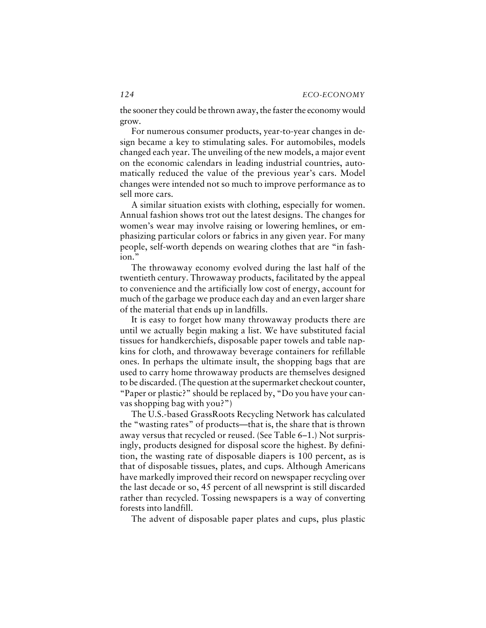the sooner they could be thrown away, the faster the economy would grow.

For numerous consumer products, year-to-year changes in design became a key to stimulating sales. For automobiles, models changed each year. The unveiling of the new models, a major event on the economic calendars in leading industrial countries, automatically reduced the value of the previous year's cars. Model changes were intended not so much to improve performance as to sell more cars.

A similar situation exists with clothing, especially for women. Annual fashion shows trot out the latest designs. The changes for women's wear may involve raising or lowering hemlines, or emphasizing particular colors or fabrics in any given year. For many people, self-worth depends on wearing clothes that are "in fashion."

The throwaway economy evolved during the last half of the twentieth century. Throwaway products, facilitated by the appeal to convenience and the artificially low cost of energy, account for much of the garbage we produce each day and an even larger share of the material that ends up in landfills.

It is easy to forget how many throwaway products there are until we actually begin making a list. We have substituted facial tissues for handkerchiefs, disposable paper towels and table napkins for cloth, and throwaway beverage containers for refillable ones. In perhaps the ultimate insult, the shopping bags that are used to carry home throwaway products are themselves designed to be discarded. (The question at the supermarket checkout counter, "Paper or plastic?" should be replaced by, "Do you have your canvas shopping bag with you?")

The U.S.-based GrassRoots Recycling Network has calculated the "wasting rates" of products—that is, the share that is thrown away versus that recycled or reused. (See Table 6–1.) Not surprisingly, products designed for disposal score the highest. By definition, the wasting rate of disposable diapers is 100 percent, as is that of disposable tissues, plates, and cups. Although Americans have markedly improved their record on newspaper recycling over the last decade or so, 45 percent of all newsprint is still discarded rather than recycled. Tossing newspapers is a way of converting forests into landfill.

The advent of disposable paper plates and cups, plus plastic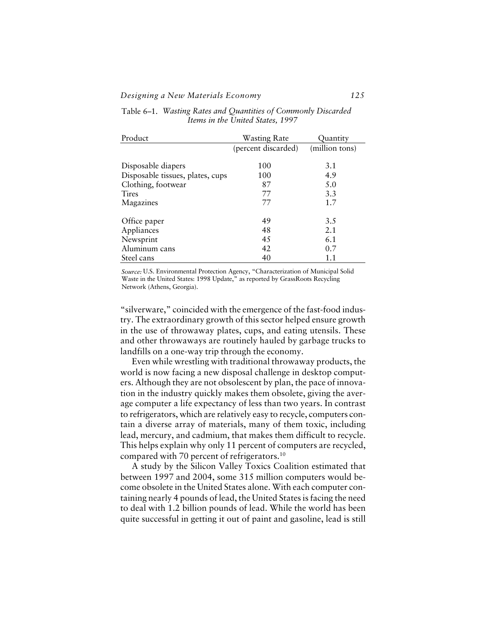| Product                          | <b>Wasting Rate</b> | Ouantity       |
|----------------------------------|---------------------|----------------|
|                                  | (percent discarded) | (million tons) |
|                                  | 100                 | 3.1            |
| Disposable diapers               |                     |                |
| Disposable tissues, plates, cups | 100                 | 4.9            |
| Clothing, footwear               | 87                  | 5.0            |
| Tires                            | 77                  | 3.3            |
| Magazines                        | 77                  | 1.7            |
| Office paper                     | 49                  | 3.5            |
| Appliances                       | 48                  | 2.1            |
| Newsprint                        | 45                  | 6.1            |
| Aluminum cans                    | 42                  | 0.7            |
| Steel cans                       | 40                  | 1.1            |

#### Table 6–1. *Wasting Rates and Quantities of Commonly Discarded Items in the United States, 1997*

*Source:* U.S. Environmental Protection Agency, "Characterization of Municipal Solid Waste in the United States: 1998 Update," as reported by GrassRoots Recycling Network (Athens, Georgia).

"silverware," coincided with the emergence of the fast-food industry. The extraordinary growth of this sector helped ensure growth in the use of throwaway plates, cups, and eating utensils. These and other throwaways are routinely hauled by garbage trucks to landfills on a one-way trip through the economy.

Even while wrestling with traditional throwaway products, the world is now facing a new disposal challenge in desktop computers. Although they are not obsolescent by plan, the pace of innovation in the industry quickly makes them obsolete, giving the average computer a life expectancy of less than two years. In contrast to refrigerators, which are relatively easy to recycle, computers contain a diverse array of materials, many of them toxic, including lead, mercury, and cadmium, that makes them difficult to recycle. This helps explain why only 11 percent of computers are recycled, compared with 70 percent of refrigerators.<sup>10</sup>

A study by the Silicon Valley Toxics Coalition estimated that between 1997 and 2004, some 315 million computers would become obsolete in the United States alone. With each computer containing nearly 4 pounds of lead, the United States is facing the need to deal with 1.2 billion pounds of lead. While the world has been quite successful in getting it out of paint and gasoline, lead is still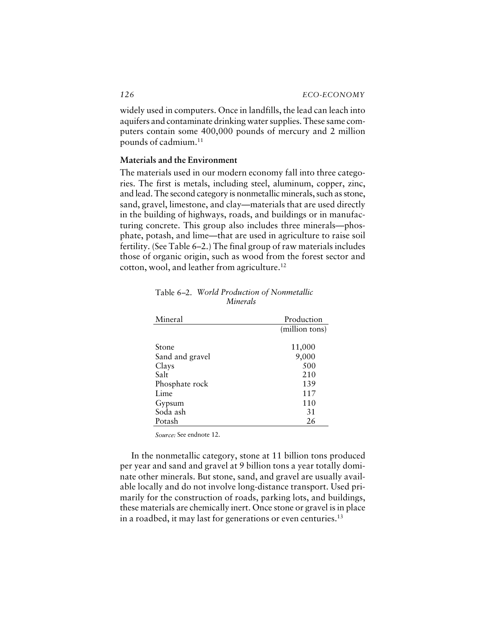widely used in computers. Once in landfills, the lead can leach into aquifers and contaminate drinking water supplies. These same computers contain some 400,000 pounds of mercury and 2 million pounds of cadmium.<sup>11</sup>

# **Materials and the Environment**

The materials used in our modern economy fall into three categories. The first is metals, including steel, aluminum, copper, zinc, and lead. The second category is nonmetallic minerals, such as stone, sand, gravel, limestone, and clay—materials that are used directly in the building of highways, roads, and buildings or in manufacturing concrete. This group also includes three minerals—phosphate, potash, and lime—that are used in agriculture to raise soil fertility. (See Table 6–2.) The final group of raw materials includes those of organic origin, such as wood from the forest sector and cotton, wool, and leather from agriculture.<sup>12</sup>

| Mineral         | Production     |  |
|-----------------|----------------|--|
|                 | (million tons) |  |
| Stone           | 11,000         |  |
| Sand and gravel | 9,000          |  |
| Clays           | 500            |  |
| Salt            | 210            |  |
| Phosphate rock  | 139            |  |
| Lime            | 117            |  |
| Gypsum          | 110            |  |
| Soda ash        | 31             |  |
| Potash          | 26             |  |

Table 6–2. *World Production of Nonmetallic Minerals*

*Source:* See endnote 12.

In the nonmetallic category, stone at 11 billion tons produced per year and sand and gravel at 9 billion tons a year totally dominate other minerals. But stone, sand, and gravel are usually available locally and do not involve long-distance transport. Used primarily for the construction of roads, parking lots, and buildings, these materials are chemically inert. Once stone or gravel is in place in a roadbed, it may last for generations or even centuries.<sup>13</sup>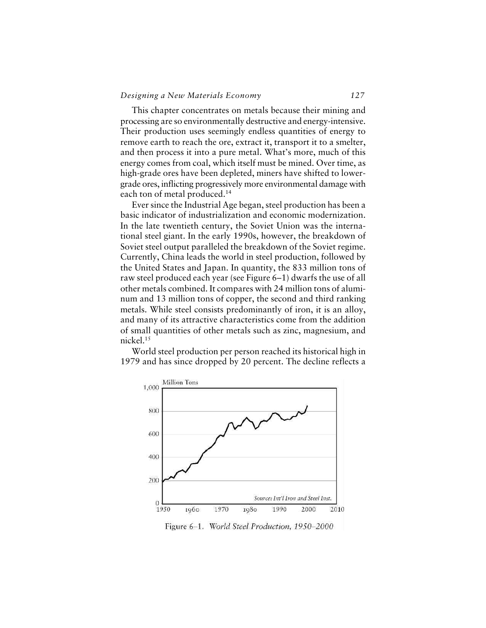This chapter concentrates on metals because their mining and processing are so environmentally destructive and energy-intensive. Their production uses seemingly endless quantities of energy to remove earth to reach the ore, extract it, transport it to a smelter, and then process it into a pure metal. What's more, much of this energy comes from coal, which itself must be mined. Over time, as high-grade ores have been depleted, miners have shifted to lowergrade ores, inflicting progressively more environmental damage with each ton of metal produced.<sup>14</sup>

Ever since the Industrial Age began, steel production has been a basic indicator of industrialization and economic modernization. In the late twentieth century, the Soviet Union was the international steel giant. In the early 1990s, however, the breakdown of Soviet steel output paralleled the breakdown of the Soviet regime. Currently, China leads the world in steel production, followed by the United States and Japan. In quantity, the 833 million tons of raw steel produced each year (see Figure 6–1) dwarfs the use of all other metals combined. It compares with 24 million tons of aluminum and 13 million tons of copper, the second and third ranking metals. While steel consists predominantly of iron, it is an alloy, and many of its attractive characteristics come from the addition of small quantities of other metals such as zinc, magnesium, and nickel.<sup>15</sup>

World steel production per person reached its historical high in 1979 and has since dropped by 20 percent. The decline reflects a



Figure 6-1. World Steel Production, 1950-2000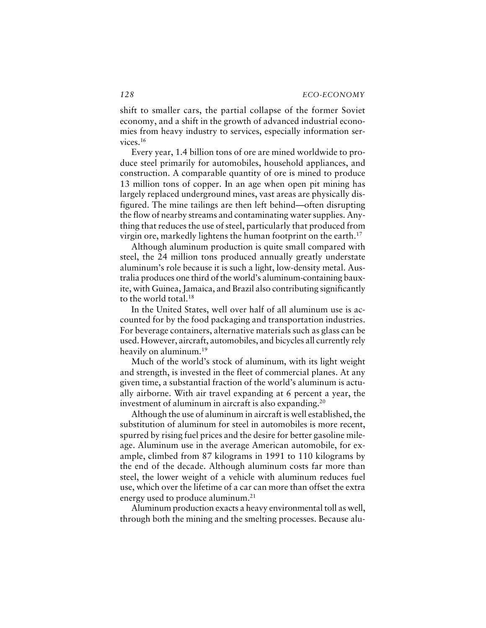shift to smaller cars, the partial collapse of the former Soviet economy, and a shift in the growth of advanced industrial economies from heavy industry to services, especially information services.<sup>16</sup>

Every year, 1.4 billion tons of ore are mined worldwide to produce steel primarily for automobiles, household appliances, and construction. A comparable quantity of ore is mined to produce 13 million tons of copper. In an age when open pit mining has largely replaced underground mines, vast areas are physically disfigured. The mine tailings are then left behind—often disrupting the flow of nearby streams and contaminating water supplies. Anything that reduces the use of steel, particularly that produced from virgin ore, markedly lightens the human footprint on the earth.<sup>17</sup>

Although aluminum production is quite small compared with steel, the 24 million tons produced annually greatly understate aluminum's role because it is such a light, low-density metal. Australia produces one third of the world's aluminum-containing bauxite, with Guinea, Jamaica, and Brazil also contributing significantly to the world total.<sup>18</sup>

In the United States, well over half of all aluminum use is accounted for by the food packaging and transportation industries. For beverage containers, alternative materials such as glass can be used. However, aircraft, automobiles, and bicycles all currently rely heavily on aluminum.<sup>19</sup>

Much of the world's stock of aluminum, with its light weight and strength, is invested in the fleet of commercial planes. At any given time, a substantial fraction of the world's aluminum is actually airborne. With air travel expanding at 6 percent a year, the investment of aluminum in aircraft is also expanding.<sup>20</sup>

Although the use of aluminum in aircraft is well established, the substitution of aluminum for steel in automobiles is more recent, spurred by rising fuel prices and the desire for better gasoline mileage. Aluminum use in the average American automobile, for example, climbed from 87 kilograms in 1991 to 110 kilograms by the end of the decade. Although aluminum costs far more than steel, the lower weight of a vehicle with aluminum reduces fuel use, which over the lifetime of a car can more than offset the extra energy used to produce aluminum.<sup>21</sup>

Aluminum production exacts a heavy environmental toll as well, through both the mining and the smelting processes. Because alu-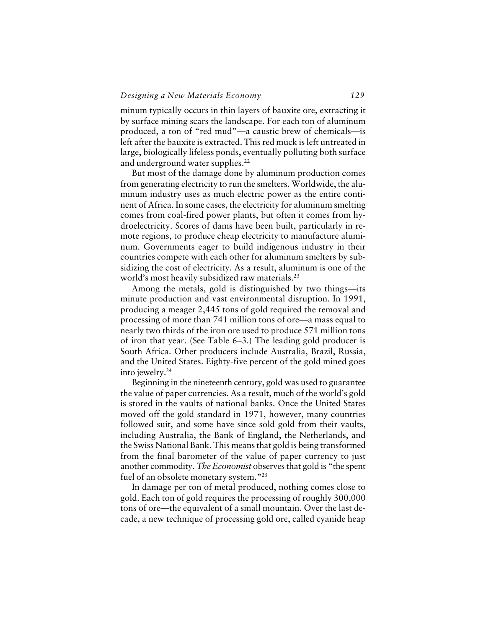minum typically occurs in thin layers of bauxite ore, extracting it by surface mining scars the landscape. For each ton of aluminum produced, a ton of "red mud"—a caustic brew of chemicals—is left after the bauxite is extracted. This red muck is left untreated in large, biologically lifeless ponds, eventually polluting both surface and underground water supplies.<sup>22</sup>

But most of the damage done by aluminum production comes from generating electricity to run the smelters. Worldwide, the aluminum industry uses as much electric power as the entire continent of Africa. In some cases, the electricity for aluminum smelting comes from coal-fired power plants, but often it comes from hydroelectricity. Scores of dams have been built, particularly in remote regions, to produce cheap electricity to manufacture aluminum. Governments eager to build indigenous industry in their countries compete with each other for aluminum smelters by subsidizing the cost of electricity. As a result, aluminum is one of the world's most heavily subsidized raw materials.<sup>23</sup>

Among the metals, gold is distinguished by two things—its minute production and vast environmental disruption. In 1991, producing a meager 2,445 tons of gold required the removal and processing of more than 741 million tons of ore—a mass equal to nearly two thirds of the iron ore used to produce 571 million tons of iron that year. (See Table 6–3.) The leading gold producer is South Africa. Other producers include Australia, Brazil, Russia, and the United States. Eighty-five percent of the gold mined goes into jewelry.<sup>24</sup>

Beginning in the nineteenth century, gold was used to guarantee the value of paper currencies. As a result, much of the world's gold is stored in the vaults of national banks. Once the United States moved off the gold standard in 1971, however, many countries followed suit, and some have since sold gold from their vaults, including Australia, the Bank of England, the Netherlands, and the Swiss National Bank. This means that gold is being transformed from the final barometer of the value of paper currency to just another commodity. *The Economist* observes that gold is "the spent fuel of an obsolete monetary system."<sup>25</sup>

In damage per ton of metal produced, nothing comes close to gold. Each ton of gold requires the processing of roughly 300,000 tons of ore—the equivalent of a small mountain. Over the last decade, a new technique of processing gold ore, called cyanide heap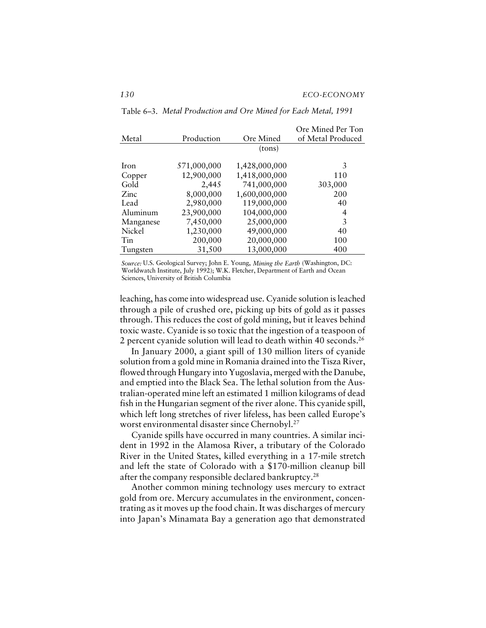Table 6–3. *Metal Production and Ore Mined for Each Metal, 1991*

|           |             |               | Ore Mined Per Ton |
|-----------|-------------|---------------|-------------------|
| Metal     | Production  | Ore Mined     | of Metal Produced |
|           |             | (tons)        |                   |
| Iron      | 571,000,000 | 1,428,000,000 | 3                 |
| Copper    | 12,900,000  | 1,418,000,000 | 110               |
| Gold      | 2,445       | 741,000,000   | 303,000           |
| Zinc      | 8,000,000   | 1,600,000,000 | 200               |
| Lead      | 2,980,000   | 119,000,000   | 40                |
| Aluminum  | 23,900,000  | 104,000,000   | 4                 |
| Manganese | 7,450,000   | 25,000,000    | 3                 |
| Nickel    | 1,230,000   | 49,000,000    | 40                |
| Tin       | 200,000     | 20,000,000    | 100               |
| Tungsten  | 31,500      | 13,000,000    | 400               |

*Source:* U.S. Geological Survey; John E. Young, *Mining the Earth* (Washington, DC: Worldwatch Institute, July 1992); W.K. Fletcher, Department of Earth and Ocean Sciences, University of British Columbia

leaching, has come into widespread use. Cyanide solution is leached through a pile of crushed ore, picking up bits of gold as it passes through. This reduces the cost of gold mining, but it leaves behind toxic waste. Cyanide is so toxic that the ingestion of a teaspoon of 2 percent cyanide solution will lead to death within 40 seconds.<sup>26</sup>

In January 2000, a giant spill of 130 million liters of cyanide solution from a gold mine in Romania drained into the Tisza River, flowed through Hungary into Yugoslavia, merged with the Danube, and emptied into the Black Sea. The lethal solution from the Australian-operated mine left an estimated 1 million kilograms of dead fish in the Hungarian segment of the river alone. This cyanide spill, which left long stretches of river lifeless, has been called Europe's worst environmental disaster since Chernobyl.<sup>27</sup>

Cyanide spills have occurred in many countries. A similar incident in 1992 in the Alamosa River, a tributary of the Colorado River in the United States, killed everything in a 17-mile stretch and left the state of Colorado with a \$170-million cleanup bill after the company responsible declared bankruptcy.<sup>28</sup>

Another common mining technology uses mercury to extract gold from ore. Mercury accumulates in the environment, concentrating as it moves up the food chain. It was discharges of mercury into Japan's Minamata Bay a generation ago that demonstrated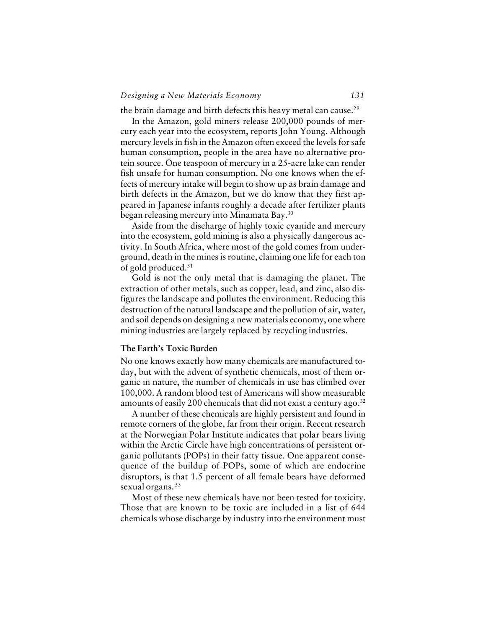the brain damage and birth defects this heavy metal can cause.<sup>29</sup>

In the Amazon, gold miners release 200,000 pounds of mercury each year into the ecosystem, reports John Young. Although mercury levels in fish in the Amazon often exceed the levels for safe human consumption, people in the area have no alternative protein source. One teaspoon of mercury in a 25-acre lake can render fish unsafe for human consumption. No one knows when the effects of mercury intake will begin to show up as brain damage and birth defects in the Amazon, but we do know that they first appeared in Japanese infants roughly a decade after fertilizer plants began releasing mercury into Minamata Bay.<sup>30</sup>

Aside from the discharge of highly toxic cyanide and mercury into the ecosystem, gold mining is also a physically dangerous activity. In South Africa, where most of the gold comes from underground, death in the mines is routine, claiming one life for each ton of gold produced.<sup>31</sup>

Gold is not the only metal that is damaging the planet. The extraction of other metals, such as copper, lead, and zinc, also disfigures the landscape and pollutes the environment. Reducing this destruction of the natural landscape and the pollution of air, water, and soil depends on designing a new materials economy, one where mining industries are largely replaced by recycling industries.

# **The Earth's Toxic Burden**

No one knows exactly how many chemicals are manufactured today, but with the advent of synthetic chemicals, most of them organic in nature, the number of chemicals in use has climbed over 100,000. A random blood test of Americans will show measurable amounts of easily 200 chemicals that did not exist a century ago.<sup>32</sup>

A number of these chemicals are highly persistent and found in remote corners of the globe, far from their origin. Recent research at the Norwegian Polar Institute indicates that polar bears living within the Arctic Circle have high concentrations of persistent organic pollutants (POPs) in their fatty tissue. One apparent consequence of the buildup of POPs, some of which are endocrine disruptors, is that 1.5 percent of all female bears have deformed sexual organs.<sup>33</sup>

Most of these new chemicals have not been tested for toxicity. Those that are known to be toxic are included in a list of 644 chemicals whose discharge by industry into the environment must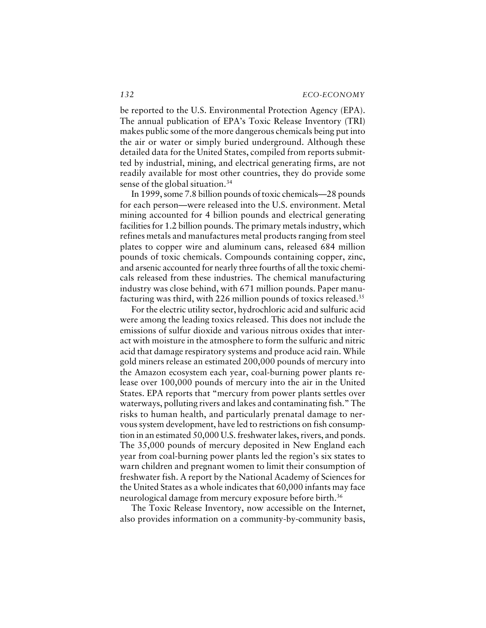be reported to the U.S. Environmental Protection Agency (EPA). The annual publication of EPA's Toxic Release Inventory (TRI) makes public some of the more dangerous chemicals being put into the air or water or simply buried underground. Although these detailed data for the United States, compiled from reports submitted by industrial, mining, and electrical generating firms, are not readily available for most other countries, they do provide some sense of the global situation.<sup>34</sup>

In 1999, some 7.8 billion pounds of toxic chemicals—28 pounds for each person—were released into the U.S. environment. Metal mining accounted for 4 billion pounds and electrical generating facilities for 1.2 billion pounds. The primary metals industry, which refines metals and manufactures metal products ranging from steel plates to copper wire and aluminum cans, released 684 million pounds of toxic chemicals. Compounds containing copper, zinc, and arsenic accounted for nearly three fourths of all the toxic chemicals released from these industries. The chemical manufacturing industry was close behind, with 671 million pounds. Paper manufacturing was third, with 226 million pounds of toxics released.<sup>35</sup>

For the electric utility sector, hydrochloric acid and sulfuric acid were among the leading toxics released. This does not include the emissions of sulfur dioxide and various nitrous oxides that interact with moisture in the atmosphere to form the sulfuric and nitric acid that damage respiratory systems and produce acid rain. While gold miners release an estimated 200,000 pounds of mercury into the Amazon ecosystem each year, coal-burning power plants release over 100,000 pounds of mercury into the air in the United States. EPA reports that "mercury from power plants settles over waterways, polluting rivers and lakes and contaminating fish." The risks to human health, and particularly prenatal damage to nervous system development, have led to restrictions on fish consumption in an estimated 50,000 U.S. freshwater lakes, rivers, and ponds. The 35,000 pounds of mercury deposited in New England each year from coal-burning power plants led the region's six states to warn children and pregnant women to limit their consumption of freshwater fish. A report by the National Academy of Sciences for the United States as a whole indicates that 60,000 infants may face neurological damage from mercury exposure before birth.<sup>36</sup>

The Toxic Release Inventory, now accessible on the Internet, also provides information on a community-by-community basis,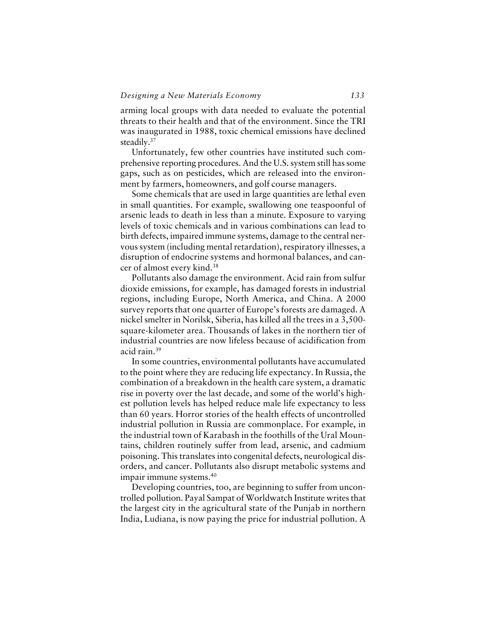arming local groups with data needed to evaluate the potential threats to their health and that of the environment. Since the TRI was inaugurated in 1988, toxic chemical emissions have declined steadily.<sup>37</sup>

Unfortunately, few other countries have instituted such comprehensive reporting procedures. And the U.S. system still has some gaps, such as on pesticides, which are released into the environment by farmers, homeowners, and golf course managers.

Some chemicals that are used in large quantities are lethal even in small quantities. For example, swallowing one teaspoonful of arsenic leads to death in less than a minute. Exposure to varying levels of toxic chemicals and in various combinations can lead to birth defects, impaired immune systems, damage to the central nervous system (including mental retardation), respiratory illnesses, a disruption of endocrine systems and hormonal balances, and cancer of almost every kind.<sup>38</sup>

Pollutants also damage the environment. Acid rain from sulfur dioxide emissions, for example, has damaged forests in industrial regions, including Europe, North America, and China. A 2000 survey reports that one quarter of Europe's forests are damaged. A nickel smelter in Norilsk, Siberia, has killed all the trees in a 3,500 square-kilometer area. Thousands of lakes in the northern tier of industrial countries are now lifeless because of acidification from acid rain.<sup>39</sup>

In some countries, environmental pollutants have accumulated to the point where they are reducing life expectancy. In Russia, the combination of a breakdown in the health care system, a dramatic rise in poverty over the last decade, and some of the world's highest pollution levels has helped reduce male life expectancy to less than 60 years. Horror stories of the health effects of uncontrolled industrial pollution in Russia are commonplace. For example, in the industrial town of Karabash in the foothills of the Ural Mountains, children routinely suffer from lead, arsenic, and cadmium poisoning. This translates into congenital defects, neurological disorders, and cancer. Pollutants also disrupt metabolic systems and impair immune systems.<sup>40</sup>

Developing countries, too, are beginning to suffer from uncontrolled pollution. Payal Sampat of Worldwatch Institute writes that the largest city in the agricultural state of the Punjab in northern India, Ludiana, is now paying the price for industrial pollution. A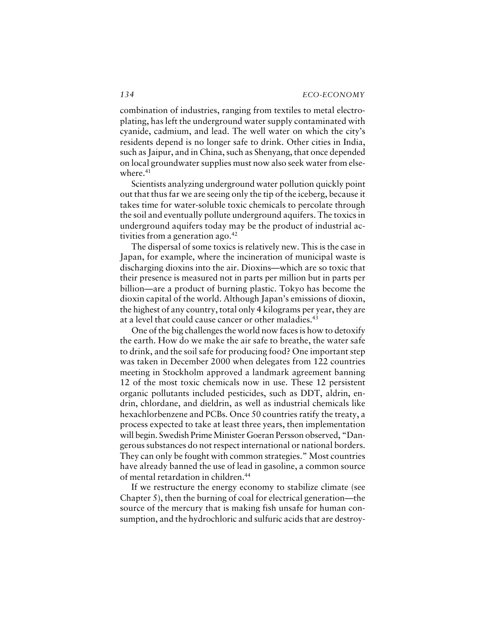combination of industries, ranging from textiles to metal electroplating, has left the underground water supply contaminated with cyanide, cadmium, and lead. The well water on which the city's residents depend is no longer safe to drink. Other cities in India, such as Jaipur, and in China, such as Shenyang, that once depended on local groundwater supplies must now also seek water from elsewhere. $41$ 

Scientists analyzing underground water pollution quickly point out that thus far we are seeing only the tip of the iceberg, because it takes time for water-soluble toxic chemicals to percolate through the soil and eventually pollute underground aquifers. The toxics in underground aquifers today may be the product of industrial activities from a generation ago.<sup>42</sup>

The dispersal of some toxics is relatively new. This is the case in Japan, for example, where the incineration of municipal waste is discharging dioxins into the air. Dioxins—which are so toxic that their presence is measured not in parts per million but in parts per billion—are a product of burning plastic. Tokyo has become the dioxin capital of the world. Although Japan's emissions of dioxin, the highest of any country, total only 4 kilograms per year, they are at a level that could cause cancer or other maladies.<sup>43</sup>

One of the big challenges the world now faces is how to detoxify the earth. How do we make the air safe to breathe, the water safe to drink, and the soil safe for producing food? One important step was taken in December 2000 when delegates from 122 countries meeting in Stockholm approved a landmark agreement banning 12 of the most toxic chemicals now in use. These 12 persistent organic pollutants included pesticides, such as DDT, aldrin, endrin, chlordane, and dieldrin, as well as industrial chemicals like hexachlorbenzene and PCBs. Once 50 countries ratify the treaty, a process expected to take at least three years, then implementation will begin. Swedish Prime Minister Goeran Persson observed, "Dangerous substances do not respect international or national borders. They can only be fought with common strategies." Most countries have already banned the use of lead in gasoline, a common source of mental retardation in children.<sup>44</sup>

If we restructure the energy economy to stabilize climate (see Chapter 5), then the burning of coal for electrical generation—the source of the mercury that is making fish unsafe for human consumption, and the hydrochloric and sulfuric acids that are destroy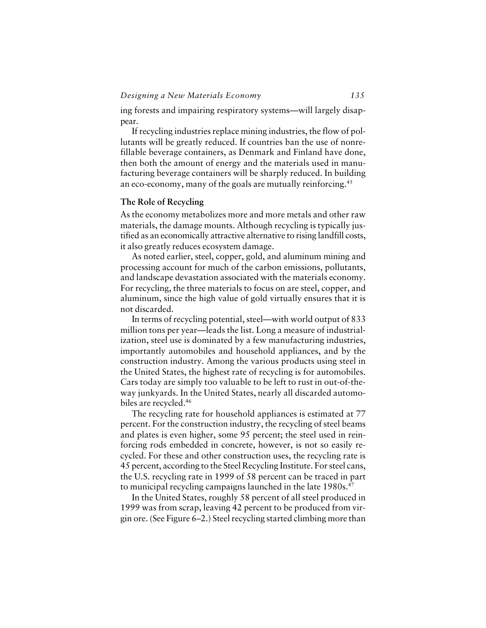ing forests and impairing respiratory systems—will largely disappear.

If recycling industries replace mining industries, the flow of pollutants will be greatly reduced. If countries ban the use of nonrefillable beverage containers, as Denmark and Finland have done, then both the amount of energy and the materials used in manufacturing beverage containers will be sharply reduced. In building an eco-economy, many of the goals are mutually reinforcing.<sup>45</sup>

#### **The Role of Recycling**

As the economy metabolizes more and more metals and other raw materials, the damage mounts. Although recycling is typically justified as an economically attractive alternative to rising landfill costs, it also greatly reduces ecosystem damage.

As noted earlier, steel, copper, gold, and aluminum mining and processing account for much of the carbon emissions, pollutants, and landscape devastation associated with the materials economy. For recycling, the three materials to focus on are steel, copper, and aluminum, since the high value of gold virtually ensures that it is not discarded.

In terms of recycling potential, steel—with world output of 833 million tons per year—leads the list. Long a measure of industrialization, steel use is dominated by a few manufacturing industries, importantly automobiles and household appliances, and by the construction industry. Among the various products using steel in the United States, the highest rate of recycling is for automobiles. Cars today are simply too valuable to be left to rust in out-of-theway junkyards. In the United States, nearly all discarded automobiles are recycled.<sup>46</sup>

The recycling rate for household appliances is estimated at 77 percent. For the construction industry, the recycling of steel beams and plates is even higher, some 95 percent; the steel used in reinforcing rods embedded in concrete, however, is not so easily recycled. For these and other construction uses, the recycling rate is 45 percent, according to the Steel Recycling Institute. For steel cans, the U.S. recycling rate in 1999 of 58 percent can be traced in part to municipal recycling campaigns launched in the late 1980s.<sup>47</sup>

In the United States, roughly 58 percent of all steel produced in 1999 was from scrap, leaving 42 percent to be produced from virgin ore. (See Figure 6–2.) Steel recycling started climbing more than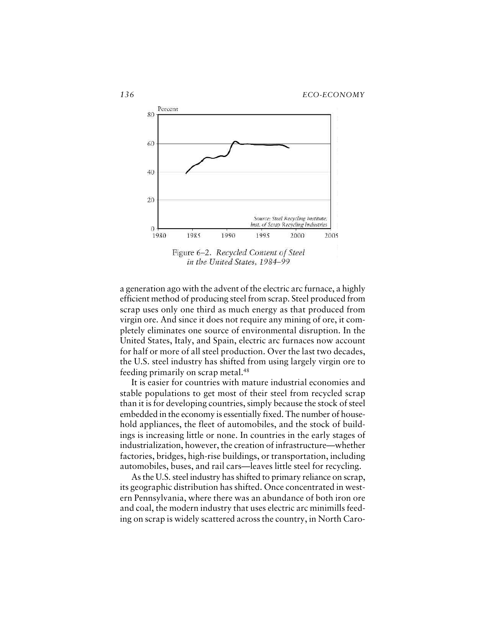

in the United States, 1984-99

a generation ago with the advent of the electric arc furnace, a highly efficient method of producing steel from scrap. Steel produced from scrap uses only one third as much energy as that produced from virgin ore. And since it does not require any mining of ore, it completely eliminates one source of environmental disruption. In the United States, Italy, and Spain, electric arc furnaces now account for half or more of all steel production. Over the last two decades, the U.S. steel industry has shifted from using largely virgin ore to feeding primarily on scrap metal.<sup>48</sup>

It is easier for countries with mature industrial economies and stable populations to get most of their steel from recycled scrap than it is for developing countries, simply because the stock of steel embedded in the economy is essentially fixed. The number of household appliances, the fleet of automobiles, and the stock of buildings is increasing little or none. In countries in the early stages of industrialization, however, the creation of infrastructure—whether factories, bridges, high-rise buildings, or transportation, including automobiles, buses, and rail cars—leaves little steel for recycling.

As the U.S. steel industry has shifted to primary reliance on scrap, its geographic distribution has shifted. Once concentrated in western Pennsylvania, where there was an abundance of both iron ore and coal, the modern industry that uses electric arc minimills feeding on scrap is widely scattered across the country, in North Caro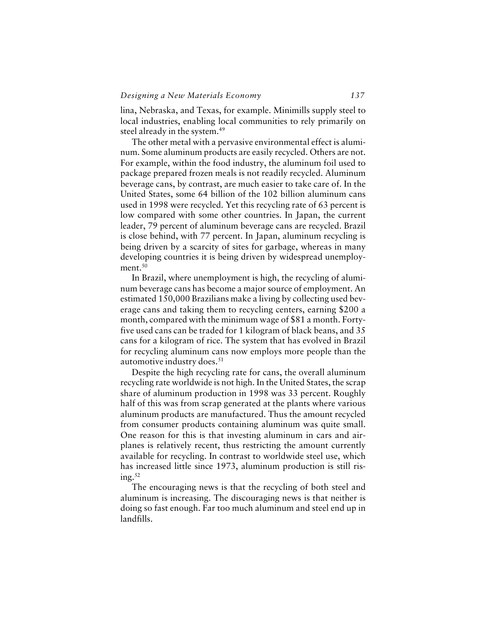lina, Nebraska, and Texas, for example. Minimills supply steel to local industries, enabling local communities to rely primarily on steel already in the system.<sup>49</sup>

The other metal with a pervasive environmental effect is aluminum. Some aluminum products are easily recycled. Others are not. For example, within the food industry, the aluminum foil used to package prepared frozen meals is not readily recycled. Aluminum beverage cans, by contrast, are much easier to take care of. In the United States, some 64 billion of the 102 billion aluminum cans used in 1998 were recycled. Yet this recycling rate of 63 percent is low compared with some other countries. In Japan, the current leader, 79 percent of aluminum beverage cans are recycled. Brazil is close behind, with 77 percent. In Japan, aluminum recycling is being driven by a scarcity of sites for garbage, whereas in many developing countries it is being driven by widespread unemployment.<sup>50</sup>

In Brazil, where unemployment is high, the recycling of aluminum beverage cans has become a major source of employment. An estimated 150,000 Brazilians make a living by collecting used beverage cans and taking them to recycling centers, earning \$200 a month, compared with the minimum wage of \$81 a month. Fortyfive used cans can be traded for 1 kilogram of black beans, and 35 cans for a kilogram of rice. The system that has evolved in Brazil for recycling aluminum cans now employs more people than the automotive industry does.<sup>51</sup>

Despite the high recycling rate for cans, the overall aluminum recycling rate worldwide is not high. In the United States, the scrap share of aluminum production in 1998 was 33 percent. Roughly half of this was from scrap generated at the plants where various aluminum products are manufactured. Thus the amount recycled from consumer products containing aluminum was quite small. One reason for this is that investing aluminum in cars and airplanes is relatively recent, thus restricting the amount currently available for recycling. In contrast to worldwide steel use, which has increased little since 1973, aluminum production is still rising. $52$ 

The encouraging news is that the recycling of both steel and aluminum is increasing. The discouraging news is that neither is doing so fast enough. Far too much aluminum and steel end up in landfills.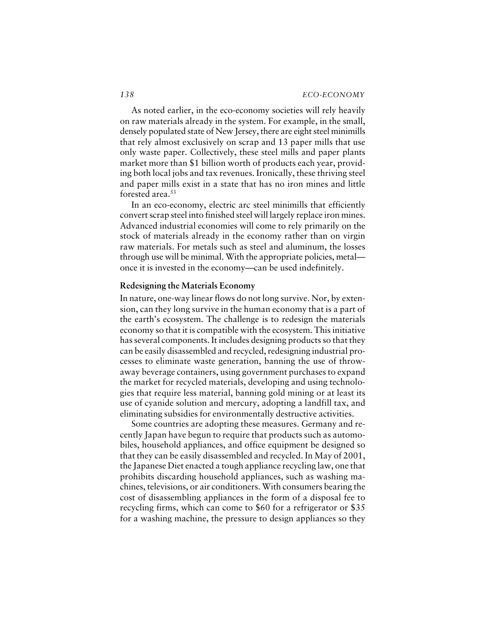As noted earlier, in the eco-economy societies will rely heavily on raw materials already in the system. For example, in the small, densely populated state of New Jersey, there are eight steel minimills that rely almost exclusively on scrap and 13 paper mills that use only waste paper. Collectively, these steel mills and paper plants market more than \$1 billion worth of products each year, providing both local jobs and tax revenues. Ironically, these thriving steel and paper mills exist in a state that has no iron mines and little forested area.<sup>53</sup>

In an eco-economy, electric arc steel minimills that efficiently convert scrap steel into finished steel will largely replace iron mines. Advanced industrial economies will come to rely primarily on the stock of materials already in the economy rather than on virgin raw materials. For metals such as steel and aluminum, the losses through use will be minimal. With the appropriate policies, metal once it is invested in the economy—can be used indefinitely.

#### **Redesigning the Materials Economy**

In nature, one-way linear flows do not long survive. Nor, by extension, can they long survive in the human economy that is a part of the earth's ecosystem. The challenge is to redesign the materials economy so that it is compatible with the ecosystem. This initiative has several components. It includes designing products so that they can be easily disassembled and recycled, redesigning industrial processes to eliminate waste generation, banning the use of throwaway beverage containers, using government purchases to expand the market for recycled materials, developing and using technologies that require less material, banning gold mining or at least its use of cyanide solution and mercury, adopting a landfill tax, and eliminating subsidies for environmentally destructive activities.

Some countries are adopting these measures. Germany and recently Japan have begun to require that products such as automobiles, household appliances, and office equipment be designed so that they can be easily disassembled and recycled. In May of 2001, the Japanese Diet enacted a tough appliance recycling law, one that prohibits discarding household appliances, such as washing machines, televisions, or air conditioners. With consumers bearing the cost of disassembling appliances in the form of a disposal fee to recycling firms, which can come to \$60 for a refrigerator or \$35 for a washing machine, the pressure to design appliances so they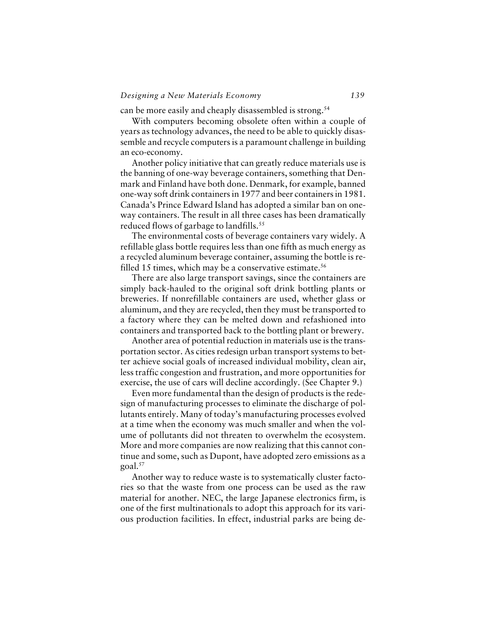can be more easily and cheaply disassembled is strong.<sup>54</sup>

With computers becoming obsolete often within a couple of years as technology advances, the need to be able to quickly disassemble and recycle computers is a paramount challenge in building an eco-economy.

Another policy initiative that can greatly reduce materials use is the banning of one-way beverage containers, something that Denmark and Finland have both done. Denmark, for example, banned one-way soft drink containers in 1977 and beer containers in 1981. Canada's Prince Edward Island has adopted a similar ban on oneway containers. The result in all three cases has been dramatically reduced flows of garbage to landfills.<sup>55</sup>

The environmental costs of beverage containers vary widely. A refillable glass bottle requires less than one fifth as much energy as a recycled aluminum beverage container, assuming the bottle is refilled 15 times, which may be a conservative estimate.<sup>56</sup>

There are also large transport savings, since the containers are simply back-hauled to the original soft drink bottling plants or breweries. If nonrefillable containers are used, whether glass or aluminum, and they are recycled, then they must be transported to a factory where they can be melted down and refashioned into containers and transported back to the bottling plant or brewery.

Another area of potential reduction in materials use is the transportation sector. As cities redesign urban transport systems to better achieve social goals of increased individual mobility, clean air, less traffic congestion and frustration, and more opportunities for exercise, the use of cars will decline accordingly. (See Chapter 9.)

Even more fundamental than the design of products is the redesign of manufacturing processes to eliminate the discharge of pollutants entirely. Many of today's manufacturing processes evolved at a time when the economy was much smaller and when the volume of pollutants did not threaten to overwhelm the ecosystem. More and more companies are now realizing that this cannot continue and some, such as Dupont, have adopted zero emissions as a goal.<sup>57</sup>

Another way to reduce waste is to systematically cluster factories so that the waste from one process can be used as the raw material for another. NEC, the large Japanese electronics firm, is one of the first multinationals to adopt this approach for its various production facilities. In effect, industrial parks are being de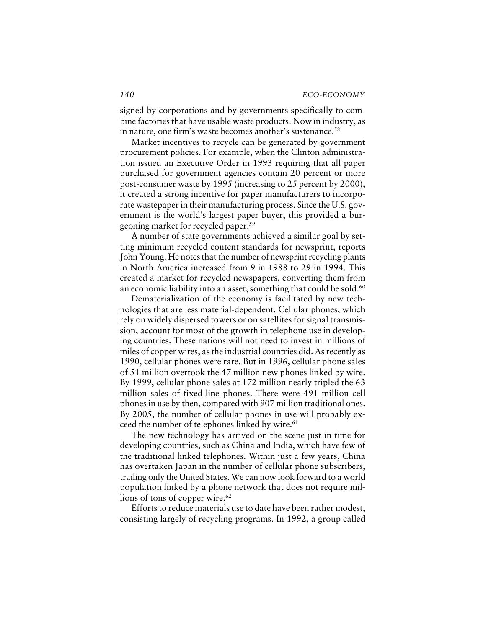signed by corporations and by governments specifically to combine factories that have usable waste products. Now in industry, as in nature, one firm's waste becomes another's sustenance.<sup>58</sup>

Market incentives to recycle can be generated by government procurement policies. For example, when the Clinton administration issued an Executive Order in 1993 requiring that all paper purchased for government agencies contain 20 percent or more post-consumer waste by 1995 (increasing to 25 percent by 2000), it created a strong incentive for paper manufacturers to incorporate wastepaper in their manufacturing process. Since the U.S. government is the world's largest paper buyer, this provided a burgeoning market for recycled paper.<sup>59</sup>

A number of state governments achieved a similar goal by setting minimum recycled content standards for newsprint, reports John Young. He notes that the number of newsprint recycling plants in North America increased from 9 in 1988 to 29 in 1994. This created a market for recycled newspapers, converting them from an economic liability into an asset, something that could be sold.<sup>60</sup>

Dematerialization of the economy is facilitated by new technologies that are less material-dependent. Cellular phones, which rely on widely dispersed towers or on satellites for signal transmission, account for most of the growth in telephone use in developing countries. These nations will not need to invest in millions of miles of copper wires, as the industrial countries did. As recently as 1990, cellular phones were rare. But in 1996, cellular phone sales of 51 million overtook the 47 million new phones linked by wire. By 1999, cellular phone sales at 172 million nearly tripled the 63 million sales of fixed-line phones. There were 491 million cell phones in use by then, compared with 907 million traditional ones. By 2005, the number of cellular phones in use will probably exceed the number of telephones linked by wire.<sup>61</sup>

The new technology has arrived on the scene just in time for developing countries, such as China and India, which have few of the traditional linked telephones. Within just a few years, China has overtaken Japan in the number of cellular phone subscribers, trailing only the United States. We can now look forward to a world population linked by a phone network that does not require millions of tons of copper wire. $62$ 

Efforts to reduce materials use to date have been rather modest, consisting largely of recycling programs. In 1992, a group called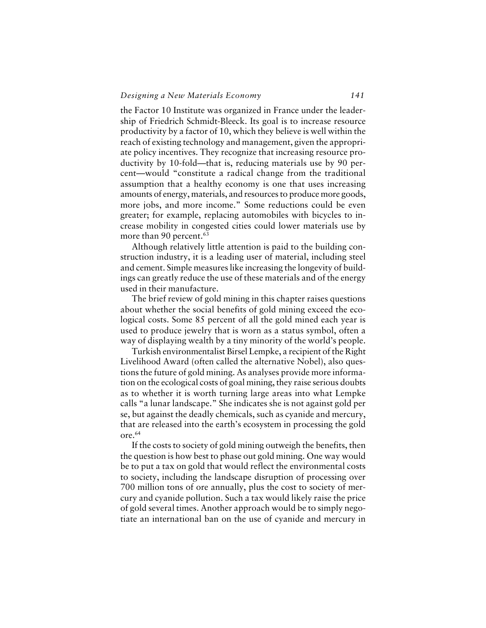the Factor 10 Institute was organized in France under the leadership of Friedrich Schmidt-Bleeck. Its goal is to increase resource productivity by a factor of 10, which they believe is well within the reach of existing technology and management, given the appropriate policy incentives. They recognize that increasing resource productivity by 10-fold—that is, reducing materials use by 90 percent—would "constitute a radical change from the traditional assumption that a healthy economy is one that uses increasing amounts of energy, materials, and resources to produce more goods, more jobs, and more income." Some reductions could be even greater; for example, replacing automobiles with bicycles to increase mobility in congested cities could lower materials use by more than 90 percent.<sup>63</sup>

Although relatively little attention is paid to the building construction industry, it is a leading user of material, including steel and cement. Simple measures like increasing the longevity of buildings can greatly reduce the use of these materials and of the energy used in their manufacture.

The brief review of gold mining in this chapter raises questions about whether the social benefits of gold mining exceed the ecological costs. Some 85 percent of all the gold mined each year is used to produce jewelry that is worn as a status symbol, often a way of displaying wealth by a tiny minority of the world's people.

Turkish environmentalist Birsel Lempke, a recipient of the Right Livelihood Award (often called the alternative Nobel), also questions the future of gold mining. As analyses provide more information on the ecological costs of goal mining, they raise serious doubts as to whether it is worth turning large areas into what Lempke calls "a lunar landscape." She indicates she is not against gold per se, but against the deadly chemicals, such as cyanide and mercury, that are released into the earth's ecosystem in processing the gold ore.<sup>64</sup>

If the costs to society of gold mining outweigh the benefits, then the question is how best to phase out gold mining. One way would be to put a tax on gold that would reflect the environmental costs to society, including the landscape disruption of processing over 700 million tons of ore annually, plus the cost to society of mercury and cyanide pollution. Such a tax would likely raise the price of gold several times. Another approach would be to simply negotiate an international ban on the use of cyanide and mercury in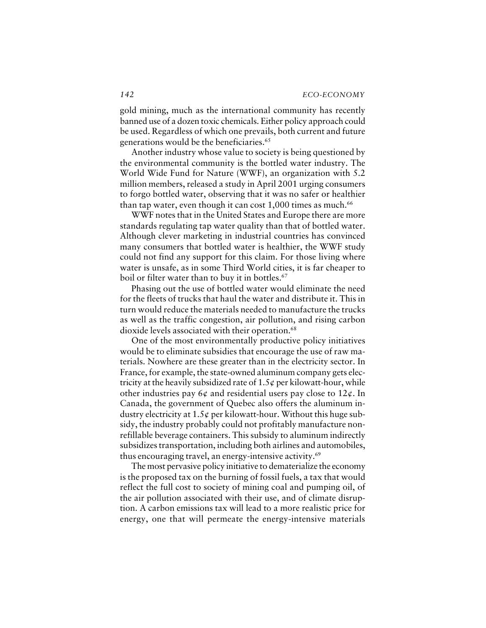gold mining, much as the international community has recently banned use of a dozen toxic chemicals. Either policy approach could be used. Regardless of which one prevails, both current and future generations would be the beneficiaries.<sup>65</sup>

Another industry whose value to society is being questioned by the environmental community is the bottled water industry. The World Wide Fund for Nature (WWF), an organization with 5.2 million members, released a study in April 2001 urging consumers to forgo bottled water, observing that it was no safer or healthier than tap water, even though it can cost  $1,000$  times as much.<sup>66</sup>

WWF notes that in the United States and Europe there are more standards regulating tap water quality than that of bottled water. Although clever marketing in industrial countries has convinced many consumers that bottled water is healthier, the WWF study could not find any support for this claim. For those living where water is unsafe, as in some Third World cities, it is far cheaper to boil or filter water than to buy it in bottles.<sup>67</sup>

Phasing out the use of bottled water would eliminate the need for the fleets of trucks that haul the water and distribute it. This in turn would reduce the materials needed to manufacture the trucks as well as the traffic congestion, air pollution, and rising carbon dioxide levels associated with their operation.<sup>68</sup>

One of the most environmentally productive policy initiatives would be to eliminate subsidies that encourage the use of raw materials. Nowhere are these greater than in the electricity sector. In France, for example, the state-owned aluminum company gets electricity at the heavily subsidized rate of  $1.5\phi$  per kilowatt-hour, while other industries pay 6¢ and residential users pay close to  $12¢$ . In Canada, the government of Quebec also offers the aluminum industry electricity at  $1.5\phi$  per kilowatt-hour. Without this huge subsidy, the industry probably could not profitably manufacture nonrefillable beverage containers. This subsidy to aluminum indirectly subsidizes transportation, including both airlines and automobiles, thus encouraging travel, an energy-intensive activity.<sup>69</sup>

The most pervasive policy initiative to dematerialize the economy is the proposed tax on the burning of fossil fuels, a tax that would reflect the full cost to society of mining coal and pumping oil, of the air pollution associated with their use, and of climate disruption. A carbon emissions tax will lead to a more realistic price for energy, one that will permeate the energy-intensive materials